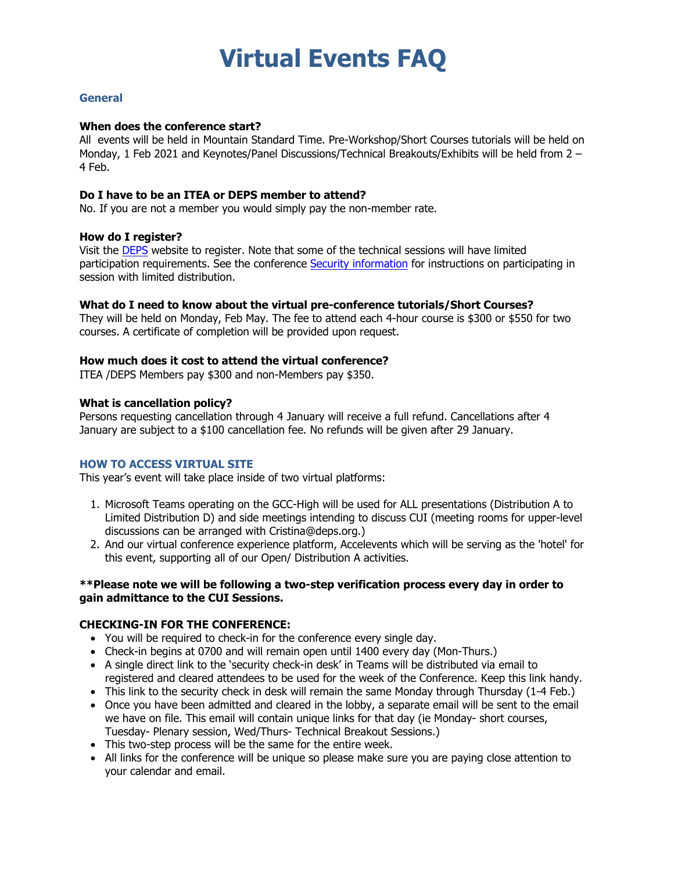# **Virtual Events FAQ**

## **General**

## **When does the conference start?**

All events will be held in Mountain Standard Time. Pre-Workshop/Short Courses tutorials will be held on Monday, 1 Feb 2021 and Keynotes/Panel Discussions/Technical Breakouts/Exhibits will be held from 2 – 4 Feb.

## **Do I have to be an ITEA or DEPS member to attend?**

No. If you are not a member you would simply pay the non-member rate.

## **How do I register?**

Visit the [DEPS](https://protected.networkshosting.com/depsor/DEPSpages/DETEconf21Attendee.html#Fees) website to register. Note that some of the technical sessions will have limited participation requirements. See the conference [Security information](https://protected.networkshosting.com/depsor/DEPSpages/DETEconf21Attendee.html#Security) for instructions on participating in session with limited distribution.

## **What do I need to know about the virtual pre-conference tutorials/Short Courses?**

They will be held on Monday, Feb May. The fee to attend each 4-hour course is \$300 or \$550 for two courses. A certificate of completion will be provided upon request.

## **How much does it cost to attend the virtual conference?**

ITEA /DEPS Members pay \$300 and non-Members pay \$350.

## **What is cancellation policy?**

Persons requesting cancellation through 4 January will receive a full refund. Cancellations after 4 January are subject to a \$100 cancellation fee. No refunds will be given after 29 January.

#### **HOW TO ACCESS VIRTUAL SITE**

This year's event will take place inside of two virtual platforms:

- 1. Microsoft Teams operating on the GCC-High will be used for ALL presentations (Distribution A to Limited Distribution D) and side meetings intending to discuss CUI (meeting rooms for upper-level discussions can be arranged with Cristina@deps.org.)
- 2. And our virtual conference experience platform, Accelevents which will be serving as the 'hotel' for this event, supporting all of our Open/ Distribution A activities.

## **\*\*Please note we will be following a two-step verification process every day in order to gain admittance to the CUI Sessions.**

## **CHECKING-IN FOR THE CONFERENCE:**

- You will be required to check-in for the conference every single day.
- Check-in begins at 0700 and will remain open until 1400 every day (Mon-Thurs.)
- A single direct link to the 'security check-in desk' in Teams will be distributed via email to registered and cleared attendees to be used for the week of the Conference. Keep this link handy.
- This link to the security check in desk will remain the same Monday through Thursday (1-4 Feb.)
- Once you have been admitted and cleared in the lobby, a separate email will be sent to the email we have on file. This email will contain unique links for that day (ie Monday- short courses, Tuesday- Plenary session, Wed/Thurs- Technical Breakout Sessions.)
- This two-step process will be the same for the entire week.
- All links for the conference will be unique so please make sure you are paying close attention to your calendar and email.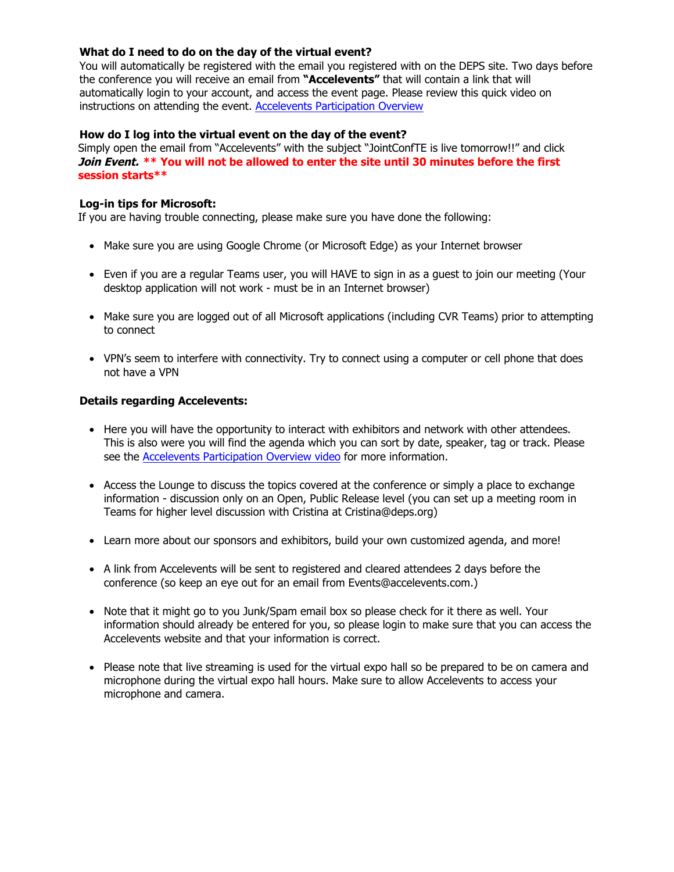## **What do I need to do on the day of the virtual event?**

You will automatically be registered with the email you registered with on the DEPS site. Two days before the conference you will receive an email from **"Accelevents"** that will contain a link that will automatically login to your account, and access the event page. Please review this quick video on instructions on attending the event. Accelevents [Participation](https://www.loom.com/share/1f041e3d31b04c9489b12e2ceeabb989) Overview

## **How do I log into the virtual event on the day of the event?**

Simply open the email from "Accelevents" with the subject "JointConfTE is live tomorrow!!" and click **Join Event. \*\* You will not be allowed to enter the site until 30 minutes before the first session starts\*\***

## **Log-in tips for Microsoft:**

If you are having trouble connecting, please make sure you have done the following:

- Make sure you are using Google Chrome (or Microsoft Edge) as your Internet browser
- Even if you are a regular Teams user, you will HAVE to sign in as a guest to join our meeting (Your desktop application will not work - must be in an Internet browser)
- Make sure you are logged out of all Microsoft applications (including CVR Teams) prior to attempting to connect
- VPN's seem to interfere with connectivity. Try to connect using a computer or cell phone that does not have a VPN

## **Details regarding Accelevents:**

- Here you will have the opportunity to interact with exhibitors and network with other attendees. This is also were you will find the agenda which you can sort by date, speaker, tag or track. Please see the [Accelevents Participation Overview video](https://www.loom.com/share/1f041e3d31b04c9489b12e2ceeabb989) for more information.
- Access the Lounge to discuss the topics covered at the conference or simply a place to exchange information - discussion only on an Open, Public Release level (you can set up a meeting room in Teams for higher level discussion with Cristina at Cristina@deps.org)
- Learn more about our sponsors and exhibitors, build your own customized agenda, and more!
- A link from Accelevents will be sent to registered and cleared attendees 2 days before the conference (so keep an eye out for an email from Events@accelevents.com.)
- Note that it might go to you Junk/Spam email box so please check for it there as well. Your information should already be entered for you, so please login to make sure that you can access the Accelevents website and that your information is correct.
- Please note that live streaming is used for the virtual expo hall so be prepared to be on camera and microphone during the virtual expo hall hours. Make sure to allow Accelevents to access your microphone and camera.